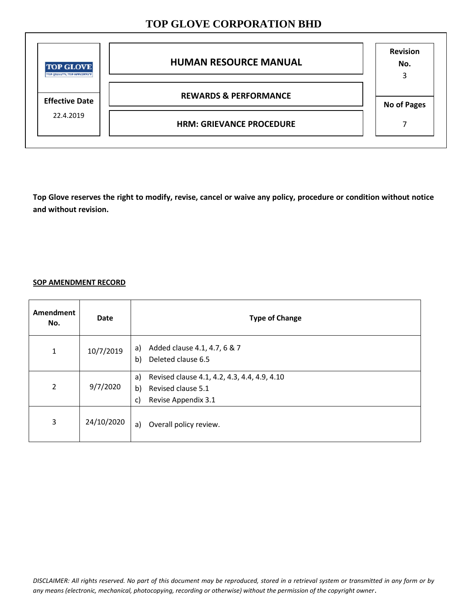| <b>TOP GLOVE</b><br>THE QUALITY, THE EFFICIENCY | <b>HUMAN RESOURCE MANUAL</b>     | <b>Revision</b><br>No.<br>3 |
|-------------------------------------------------|----------------------------------|-----------------------------|
| <b>Effective Date</b>                           | <b>REWARDS &amp; PERFORMANCE</b> | <b>No of Pages</b>          |
| 22.4.2019                                       | <b>HRM: GRIEVANCE PROCEDURE</b>  |                             |

**Top Glove reserves the right to modify, revise, cancel or waive any policy, procedure or condition without notice and without revision.** 

### **SOP AMENDMENT RECORD**

| Amendment<br>No. | <b>Date</b> | <b>Type of Change</b>                                                                                       |
|------------------|-------------|-------------------------------------------------------------------------------------------------------------|
| 1                | 10/7/2019   | Added clause 4.1, 4.7, 6 & 7<br>a)<br>Deleted clause 6.5<br>b)                                              |
| $\overline{2}$   | 9/7/2020    | Revised clause 4.1, 4.2, 4.3, 4.4, 4.9, 4.10<br>a)<br>b)<br>Revised clause 5.1<br>Revise Appendix 3.1<br>c) |
| 3                | 24/10/2020  | Overall policy review.<br>a)                                                                                |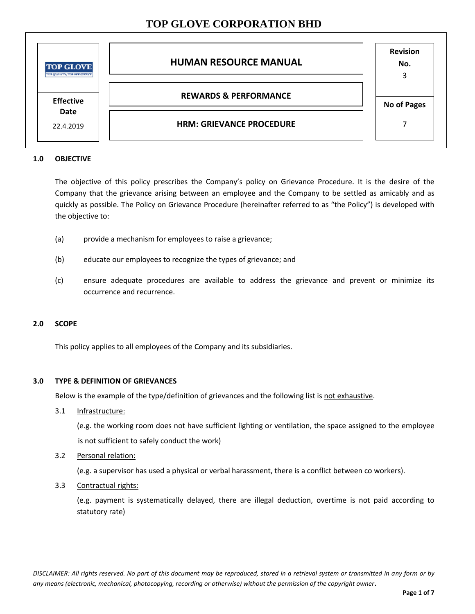| <b>TOP GLOVE</b><br>TOP QUALITY, THE EFFICIENCY | <b>HUMAN RESOURCE MANUAL</b>     | <b>Revision</b><br>No.<br>3 |
|-------------------------------------------------|----------------------------------|-----------------------------|
| <b>Effective</b>                                | <b>REWARDS &amp; PERFORMANCE</b> | <b>No of Pages</b>          |
| Date<br>22.4.2019                               | <b>HRM: GRIEVANCE PROCEDURE</b>  |                             |

### **1.0 OBJECTIVE**

The objective of this policy prescribes the Company's policy on Grievance Procedure. It is the desire of the Company that the grievance arising between an employee and the Company to be settled as amicably and as quickly as possible. The Policy on Grievance Procedure (hereinafter referred to as "the Policy") is developed with the objective to:

- (a) provide a mechanism for employees to raise a grievance;
- (b) educate our employees to recognize the types of grievance; and
- (c) ensure adequate procedures are available to address the grievance and prevent or minimize its occurrence and recurrence.

### **2.0 SCOPE**

This policy applies to all employees of the Company and its subsidiaries.

### **3.0 TYPE & DEFINITION OF GRIEVANCES**

Below is the example of the type/definition of grievances and the following list is not exhaustive.

3.1 Infrastructure:

(e.g. the working room does not have sufficient lighting or ventilation, the space assigned to the employee is not sufficient to safely conduct the work)

3.2 Personal relation:

(e.g. a supervisor has used a physical or verbal harassment, there is a conflict between co workers).

3.3 Contractual rights:

(e.g. payment is systematically delayed, there are illegal deduction, overtime is not paid according to statutory rate)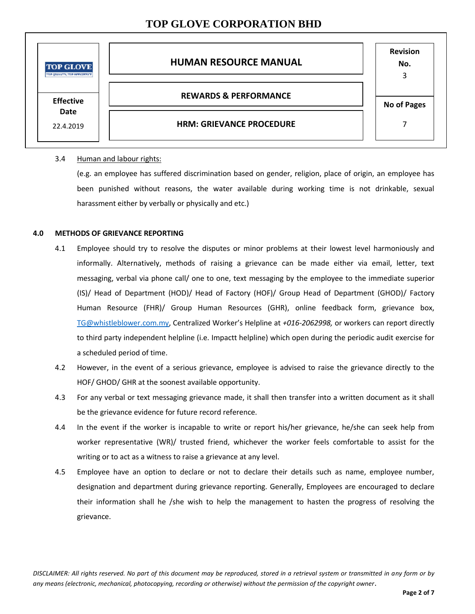| <b>TOP GLOVE</b><br>TOP QUALITY, THE EPHOTOXICE | <b>HUMAN RESOURCE MANUAL</b>     | <b>Revision</b><br>No.<br>3 |
|-------------------------------------------------|----------------------------------|-----------------------------|
| <b>Effective</b>                                | <b>REWARDS &amp; PERFORMANCE</b> | <b>No of Pages</b>          |
| Date<br>22.4.2019                               | <b>HRM: GRIEVANCE PROCEDURE</b>  |                             |

### 3.4 Human and labour rights:

(e.g. an employee has suffered discrimination based on gender, religion, place of origin, an employee has been punished without reasons, the water available during working time is not drinkable, sexual harassment either by verbally or physically and etc.)

#### **4.0 METHODS OF GRIEVANCE REPORTING**

- 4.1 Employee should try to resolve the disputes or minor problems at their lowest level harmoniously and informally. Alternatively, methods of raising a grievance can be made either via email, letter, text messaging, verbal via phone call/ one to one, text messaging by the employee to the immediate superior (IS)/ Head of Department (HOD)/ Head of Factory (HOF)/ Group Head of Department (GHOD)/ Factory Human Resource (FHR)/ Group Human Resources (GHR), online feedback form, grievance box, [TG@whistleblower.com.my,](mailto:TG@whistleblower.com.my) Centralized Worker's Helpline at *+016-2062998,* or workers can report directly to third party independent helpline (i.e. Impactt helpline) which open during the periodic audit exercise for a scheduled period of time.
- 4.2 However, in the event of a serious grievance, employee is advised to raise the grievance directly to the HOF/ GHOD/ GHR at the soonest available opportunity.
- 4.3 For any verbal or text messaging grievance made, it shall then transfer into a written document as it shall be the grievance evidence for future record reference.
- 4.4 In the event if the worker is incapable to write or report his/her grievance, he/she can seek help from worker representative (WR)/ trusted friend, whichever the worker feels comfortable to assist for the writing or to act as a witness to raise a grievance at any level.
- 4.5 Employee have an option to declare or not to declare their details such as name, employee number, designation and department during grievance reporting. Generally, Employees are encouraged to declare their information shall he /she wish to help the management to hasten the progress of resolving the grievance.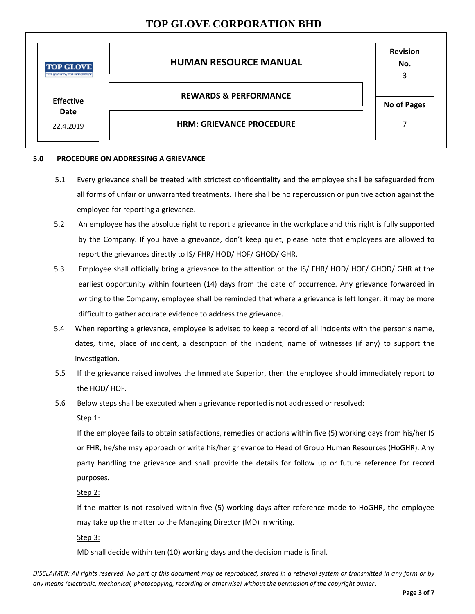| <b>TOP GLOVE</b><br>TOP QUALITY, THE EFFICIENCY | <b>HUMAN RESOURCE MANUAL</b>     | <b>Revision</b><br>No.<br>3 |
|-------------------------------------------------|----------------------------------|-----------------------------|
| <b>Effective</b>                                | <b>REWARDS &amp; PERFORMANCE</b> | <b>No of Pages</b>          |
| Date<br>22.4.2019                               | <b>HRM: GRIEVANCE PROCEDURE</b>  |                             |

#### **5.0 PROCEDURE ON ADDRESSING A GRIEVANCE**

- 5.1 Every grievance shall be treated with strictest confidentiality and the employee shall be safeguarded from all forms of unfair or unwarranted treatments. There shall be no repercussion or punitive action against the employee for reporting a grievance.
- 5.2 An employee has the absolute right to report a grievance in the workplace and this right is fully supported by the Company. If you have a grievance, don't keep quiet, please note that employees are allowed to report the grievances directly to IS/ FHR/ HOD/ HOF/ GHOD/ GHR.
- 5.3 Employee shall officially bring a grievance to the attention of the IS/ FHR/ HOD/ HOF/ GHOD/ GHR at the earliest opportunity within fourteen (14) days from the date of occurrence. Any grievance forwarded in writing to the Company, employee shall be reminded that where a grievance is left longer, it may be more difficult to gather accurate evidence to address the grievance.
- 5.4 When reporting a grievance, employee is advised to keep a record of all incidents with the person's name, dates, time, place of incident, a description of the incident, name of witnesses (if any) to support the investigation.
- 5.5 If the grievance raised involves the Immediate Superior, then the employee should immediately report to the HOD/ HOF.
- 5.6 Below steps shall be executed when a grievance reported is not addressed or resolved:

### Step 1:

If the employee fails to obtain satisfactions, remedies or actions within five (5) working days from his/her IS or FHR, he/she may approach or write his/her grievance to Head of Group Human Resources (HoGHR). Any party handling the grievance and shall provide the details for follow up or future reference for record purposes.

Step 2:

If the matter is not resolved within five (5) working days after reference made to HoGHR, the employee may take up the matter to the Managing Director (MD) in writing.

Step 3:

MD shall decide within ten (10) working days and the decision made is final.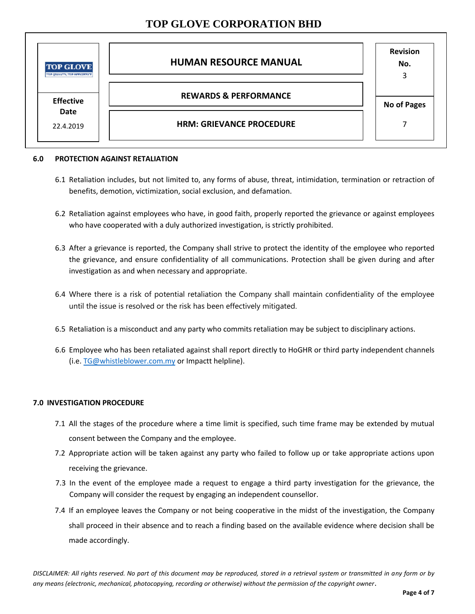| <b>TOP GLOVE</b><br>TOP QUALITY, THE EFFICIENCY | <b>HUMAN RESOURCE MANUAL</b>     | <b>Revision</b><br>No.<br>3 |
|-------------------------------------------------|----------------------------------|-----------------------------|
| <b>Effective</b>                                | <b>REWARDS &amp; PERFORMANCE</b> | <b>No of Pages</b>          |
| Date<br>22.4.2019                               | <b>HRM: GRIEVANCE PROCEDURE</b>  |                             |

#### **6.0 PROTECTION AGAINST RETALIATION**

- 6.1 Retaliation includes, but not limited to, any forms of abuse, threat, intimidation, termination or retraction of benefits, demotion, victimization, social exclusion, and defamation.
- 6.2 Retaliation against employees who have, in good faith, properly reported the grievance or against employees who have cooperated with a duly authorized investigation, is strictly prohibited.
- 6.3 After a grievance is reported, the Company shall strive to protect the identity of the employee who reported the grievance, and ensure confidentiality of all communications. Protection shall be given during and after investigation as and when necessary and appropriate.
- 6.4 Where there is a risk of potential retaliation the Company shall maintain confidentiality of the employee until the issue is resolved or the risk has been effectively mitigated.
- 6.5 Retaliation is a misconduct and any party who commits retaliation may be subject to disciplinary actions.
- 6.6 Employee who has been retaliated against shall report directly to HoGHR or third party independent channels (i.e[. TG@whistleblower.com.my](mailto:TG@whistleblower.com.my) or Impactt helpline).

### **7.0 INVESTIGATION PROCEDURE**

- 7.1 All the stages of the procedure where a time limit is specified, such time frame may be extended by mutual consent between the Company and the employee.
- 7.2 Appropriate action will be taken against any party who failed to follow up or take appropriate actions upon receiving the grievance.
- 7.3 In the event of the employee made a request to engage a third party investigation for the grievance, the Company will consider the request by engaging an independent counsellor.
- 7.4 If an employee leaves the Company or not being cooperative in the midst of the investigation, the Company shall proceed in their absence and to reach a finding based on the available evidence where decision shall be made accordingly.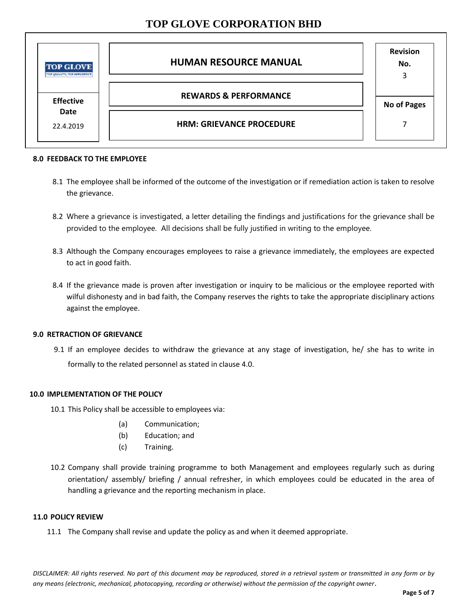| <b>TOP GLOVE</b><br>TOP QUALITY, THE EFFICIENCY | <b>HUMAN RESOURCE MANUAL</b>     | <b>Revision</b><br>No.<br>3 |
|-------------------------------------------------|----------------------------------|-----------------------------|
| <b>Effective</b>                                | <b>REWARDS &amp; PERFORMANCE</b> | <b>No of Pages</b>          |
| Date<br>22.4.2019                               | <b>HRM: GRIEVANCE PROCEDURE</b>  |                             |

#### **8.0 FEEDBACK TO THE EMPLOYEE**

- 8.1 The employee shall be informed of the outcome of the investigation or if remediation action is taken to resolve the grievance.
- 8.2 Where a grievance is investigated, a letter detailing the findings and justifications for the grievance shall be provided to the employee. All decisions shall be fully justified in writing to the employee.
- 8.3 Although the Company encourages employees to raise a grievance immediately, the employees are expected to act in good faith.
- 8.4 If the grievance made is proven after investigation or inquiry to be malicious or the employee reported with wilful dishonesty and in bad faith, the Company reserves the rights to take the appropriate disciplinary actions against the employee.

### **9.0 RETRACTION OF GRIEVANCE**

9.1 If an employee decides to withdraw the grievance at any stage of investigation, he/ she has to write in formally to the related personnel as stated in clause 4.0.

### **10.0 IMPLEMENTATION OF THE POLICY**

10.1 This Policy shall be accessible to employees via:

- (a) Communication;
- (b) Education; and
- (c) Training.
- 10.2 Company shall provide training programme to both Management and employees regularly such as during orientation/ assembly/ briefing / annual refresher, in which employees could be educated in the area of handling a grievance and the reporting mechanism in place.

#### **11.0 POLICY REVIEW**

11.1 The Company shall revise and update the policy as and when it deemed appropriate.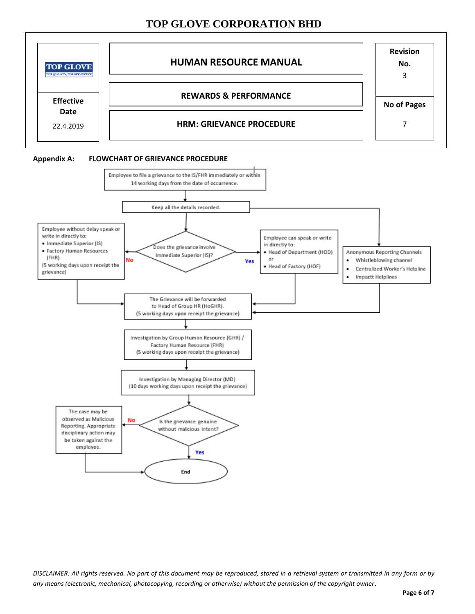